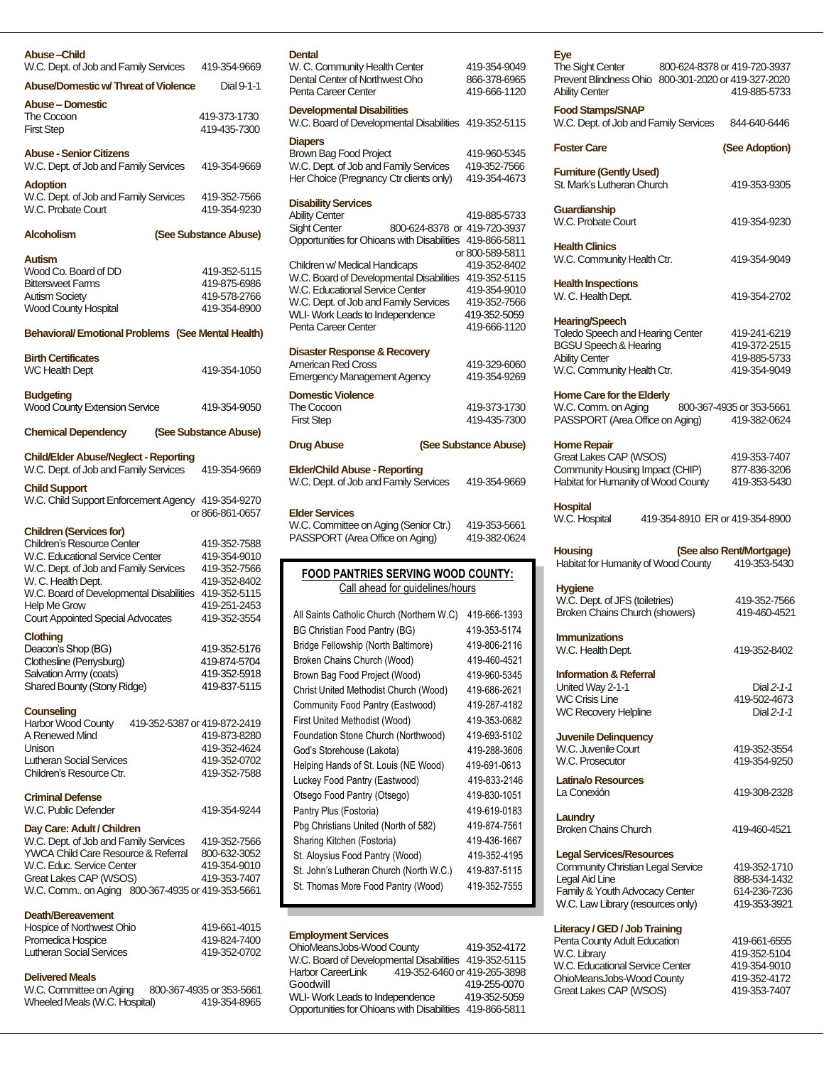| Abuse –Child                                                            |                          |
|-------------------------------------------------------------------------|--------------------------|
| W.C. Dept. of Job and Family Services                                   | 419-354-9669             |
| <b>Abuse/Domestic w/ Threat of Violence</b>                             | Dial 9-1-1               |
| Abuse – Domestic                                                        |                          |
| The Cocoon                                                              | 419-373-1730             |
| <b>First Step</b>                                                       | 419-435-7300             |
| <b>Abuse - Senior Citizens</b>                                          |                          |
| W.C. Dept. of Job and Family Services                                   | 419-354-9669             |
| <b>Adoption</b>                                                         |                          |
| W.C. Dept. of Job and Family Services                                   | 419-352-7566             |
| W.C. Probate Court                                                      | 419-354-9230             |
|                                                                         |                          |
| <b>Alcoholism</b>                                                       | (See Substance Abuse)    |
| <b>Autism</b>                                                           |                          |
| Wood Co. Board of DD                                                    | 419-352-5115             |
| <b>Bittersweet Farms</b>                                                | 419-875-6986             |
| <b>Autism Society</b>                                                   | 419-578-2766             |
| <b>Wood County Hospital</b>                                             | 419-354-8900             |
| Behavioral/Emotional Problems (See Mental Health)                       |                          |
|                                                                         |                          |
| <b>Birth Certificates</b>                                               |                          |
| <b>WC Health Dept</b>                                                   | 419-354-1050             |
| <b>Budgeting</b>                                                        |                          |
| <b>Wood County Extension Service</b>                                    | 419-354-9050             |
|                                                                         |                          |
| <b>Chemical Dependency</b>                                              | (See Substance Abuse)    |
|                                                                         |                          |
| <b>Child/Elder Abuse/Neglect - Reporting</b>                            |                          |
| W.C. Dept. of Job and Family Services                                   | 419-354-9669             |
| <b>Child Support</b>                                                    |                          |
| W.C. Child Support Enforcement Agency 419-354-9270                      |                          |
|                                                                         | or 866-861-0657          |
| <b>Children (Services for)</b>                                          |                          |
| <b>Children's Resource Center</b>                                       | 419-352-7588             |
| W.C. Educational Service Center                                         | 419-354-9010             |
| W.C. Dept. of Job and Family Services                                   | 419-352-7566             |
| W. C. Health Dept.                                                      | 419-352-8402             |
| W.C. Board of Developmental Disabilities                                | 419-352-5115             |
| <b>Help Me Grow</b>                                                     | 419-251-2453             |
| <b>Court Appointed Special Advocates</b>                                | 419-352-3554             |
| <b>Clothing</b>                                                         |                          |
| Deacon's Shop (BG)                                                      | 419-352-5176             |
| Clothesline (Perrysburg)                                                | 419-874-5704             |
| Salvation Army (coats)                                                  | 419-352-5918             |
| Shared Bounty (Stony Ridge)                                             | 419-837-5115             |
|                                                                         |                          |
| Counseling<br><b>Harbor Wood County</b><br>419-352-5387 or 419-872-2419 |                          |
| A Renewed Mind                                                          | 419-873-8280             |
| I <i>Inison</i>                                                         | 419-352-4624             |
| Lutheran Social Services                                                | 419-352-0702             |
| Children's Resource Ctr.                                                | 419-352-7588             |
|                                                                         |                          |
| <b>Criminal Defense</b>                                                 |                          |
| W.C. Public Defender                                                    | 419-354-9244             |
| Day Care: Adult / Children                                              |                          |
| W.C. Dept. of Job and Family Services                                   | 419-352-7566             |
| YWCA Child Care Resource & Referral                                     | 800-632-3052             |
| W.C. Educ. Service Center                                               | 419-354-9010             |
| Great Lakes CAP (WSOS)                                                  | 419-353-7407             |
| W.C. Comm on Aging 800-367-4935 or 419-353-5661                         |                          |
|                                                                         |                          |
| Death/Bereavement                                                       |                          |
| Hospice of Northwest Ohio                                               | 419-661-4015             |
| Promedica Hospice                                                       | 419-824-7400             |
| <b>Lutheran Social Services</b>                                         | 419-352-0702             |
|                                                                         |                          |
| <b>Delivered Meals</b><br>W.C. Committee on Aging                       | 800-367-4935 or 353-5661 |
| Wheeled Meals (W.C. Hospital)                                           | 419-354-8965             |
|                                                                         |                          |

# **Dental** W. C. Community Health Center 419-354-9049<br>Dental Center of Northwest Oho 866-378-6965

Penta Career Center

| <b>Developmental Disabilities</b><br>W.C. Board of Developmental Disabilities 419-352-5115 |                                 |
|--------------------------------------------------------------------------------------------|---------------------------------|
| <b>Diapers</b><br><b>Brown Bag Food Project</b><br>W.C. Dept. of Job and Family Services   | 419-960-5345<br>419-352-7566    |
| Her Choice (Pregnancy Ctr clients only)                                                    | 419-354-4673                    |
| <b>Disability Services</b>                                                                 |                                 |
| <b>Ability Center</b>                                                                      | 419-885-5733                    |
| <b>Sight Center</b><br>800-624-8378 or 419-720-3937                                        |                                 |
| Opportunities for Ohioans with Disabilities                                                | 419-866-5811                    |
| Children w/ Medical Handicaps                                                              | or 800-589-5811<br>419-352-8402 |
| W.C. Board of Developmental Disabilities                                                   | 419-352-5115                    |
| W.C. Educational Service Center                                                            | 419-354-9010                    |
| W.C. Dept. of Job and Family Services                                                      | 419-352-7566                    |
| WLI-Work Leads to Independence                                                             | 419-352-5059                    |
| Penta Career Center                                                                        | 419-666-1120                    |
| <b>Disaster Response &amp; Recovery</b>                                                    |                                 |
| American Red Cross                                                                         | 419-329-6060                    |
| <b>Emergency Management Agency</b>                                                         | 419-354-9269                    |
| <b>Domestic Violence</b>                                                                   |                                 |
| The Cocoon<br><b>First Step</b>                                                            | 419-373-1730<br>419-435-7300    |
|                                                                                            |                                 |
| <b>Drug Abuse</b>                                                                          | (See Substance Abuse)           |
|                                                                                            |                                 |
| <b>Elder/Child Abuse - Reporting</b>                                                       |                                 |
| W.C. Dept. of Job and Family Services                                                      | 419-354-9669                    |
|                                                                                            |                                 |
| <b>Elder Services</b><br>W.C. Committee on Aging (Senior Ctr.)                             | 419-353-5661                    |
| PASSPORT (Area Office on Aging)                                                            | 419-382-0624                    |
|                                                                                            |                                 |
| <b>FOOD PANTRIES SERVING WOOD COUNTY:</b><br>Call ahead for guidelines/hours               |                                 |
| All Saints Catholic Church (Northern W.C)                                                  | 419-666-1393                    |
| <b>BG Christian Food Pantry (BG)</b>                                                       | 419-353-5174                    |
|                                                                                            | 419-806-2116                    |
| Bridge Fellowship (North Baltimore)                                                        | 419-460-4521                    |
| Broken Chains Church (Wood)                                                                |                                 |
| Brown Bag Food Project (Wood)                                                              | 419-960-5345                    |
| Christ United Methodist Church (Wood)                                                      | 419-686-2621                    |
| Community Food Pantry (Eastwood)                                                           | 419-287-4182                    |
| First United Methodist (Wood)                                                              | 419-353-0682                    |
| Foundation Stone Church (Northwood)                                                        | 419-693-5102                    |
| God's Storehouse (Lakota)                                                                  | 419-288-3606                    |
| Helping Hands of St. Louis (NE Wood)                                                       | 419-691-0613                    |
| Luckey Food Pantry (Eastwood)                                                              | 419-833-2146                    |
| Otsego Food Pantry (Otsego)                                                                | 419-830-1051                    |
| Pantry Plus (Fostoria)                                                                     | 419-619-0183                    |
| Pbg Christians United (North of 582)                                                       | 419-874-7561                    |
| Sharing Kitchen (Fostoria)                                                                 | 419-436-1667                    |
| St. Aloysius Food Pantry (Wood)                                                            | 419-352-4195                    |
| St. John's Lutheran Church (North W.C.)                                                    | 419-837-5115                    |

Dental Center of Northwest Oho 866-378-6965<br>Penta Career Center 419-666-1120

St. Thomas More Food Pantry (Wood) 419-352-7555

### **Employment Services**

OhioMeansJobs-Wood County 419-352-4172 W.C. Board of Developmental Disabilities 419-352-5115 Harbor CareerLink 419-352-6460 or 419-265-3898 419-255-0070<br>419-352-5059 WLI- Work Leads to Independence Opportunities for Ohioans with Disabilities 419-866-5811 Harbor CareerLink

| Eye<br><b>The Sight Center</b><br>Prevent Blindness Ohio<br><b>Ability Center</b>                                                                             | 800-624-8378 or 419-720-3937<br>800-301-2020 or 419-327-2020<br>419-885-5733 |
|---------------------------------------------------------------------------------------------------------------------------------------------------------------|------------------------------------------------------------------------------|
| <b>Food Stamps/SNAP</b><br>W.C. Dept. of Job and Family Services                                                                                              | 844-640-6446                                                                 |
| <b>Foster Care</b>                                                                                                                                            | (See Adoption)                                                               |
| <b>Furniture (Gently Used)</b><br>St. Mark's Lutheran Church                                                                                                  | 419-353-9305                                                                 |
| Guardianship<br>W.C. Probate Court                                                                                                                            | 419-354-9230                                                                 |
| <b>Health Clinics</b><br>W.C. Community Health Ctr.                                                                                                           | 419-354-9049                                                                 |
| <b>Health Inspections</b><br>W. C. Health Dept.                                                                                                               | 419-354-2702                                                                 |
| <b>Hearing/Speech</b><br>Toledo Speech and Hearing Center<br><b>BGSU Speech &amp; Hearing</b><br><b>Ability Center</b><br>W.C. Community Health Ctr.          | 419-241-6219<br>419-372-2515<br>419-885-5733<br>419-354-9049                 |
| <b>Home Care for the Elderly</b><br>W.C. Comm. on Aging<br>PASSPORT (Area Office on Aging)                                                                    | 800-367-4935 or 353-5661<br>419-382-0624                                     |
| <b>Home Repair</b><br>Great Lakes CAP (WSOS)<br>Community Housing Impact (CHIP)<br>Habitat for Humanity of Wood County<br><b>Hospital</b>                     | 419-353-7407<br>877-836-3206<br>419-353-5430                                 |
| W.C. Hospital<br>419-354-8910 ER or 419-354-8900<br><b>Housing</b>                                                                                            | (See also Rent/Mortgage)                                                     |
| Habitat for Humanity of Wood County                                                                                                                           | 419-353-5430                                                                 |
| <b>Hygiene</b><br>W.C. Dept. of JFS (toiletries)<br>Broken Chains Church (showers)                                                                            | 419-352-7566<br>419-460-4521                                                 |
| <b>Immunizations</b><br>W.C. Health Dept.                                                                                                                     | 419-352-8402                                                                 |
| <b>Information &amp; Referral</b><br>United Way 2-1-1<br><b>WC Crisis Line</b><br><b>WC Recovery Helpline</b>                                                 | Dial 2-1-1<br>419-502-4673<br>Dial $2-1-1$                                   |
| <b>Juvenile Delinquency</b><br>W.C. Juvenile Court<br><b>W.C. Prosecutor</b>                                                                                  | 419-352-3554<br>419-354-9250                                                 |
| Latina/o Resources<br>La Conexión                                                                                                                             | 419-308-2328                                                                 |
| Laundry<br><b>Broken Chains Church</b>                                                                                                                        | 419-460-4521                                                                 |
| <b>Legal Services/Resources</b><br>Community Christian Legal Service<br>Legal Aid Line<br>Family & Youth Advocacy Center<br>W.C. Law Library (resources only) | 419-352-1710<br>888-534-1432<br>614-236-7236<br>419-353-3921                 |

| Literacy / GED / Job Training   |              |
|---------------------------------|--------------|
| Penta County Adult Education    | 419-661-6555 |
| W.C. Library                    | 419-352-5104 |
| W.C. Educational Service Center | 419-354-9010 |
| OhioMeansJobs-Wood County       | 419-352-4172 |
| Great Lakes CAP (WSOS)          | 419-353-7407 |
|                                 |              |